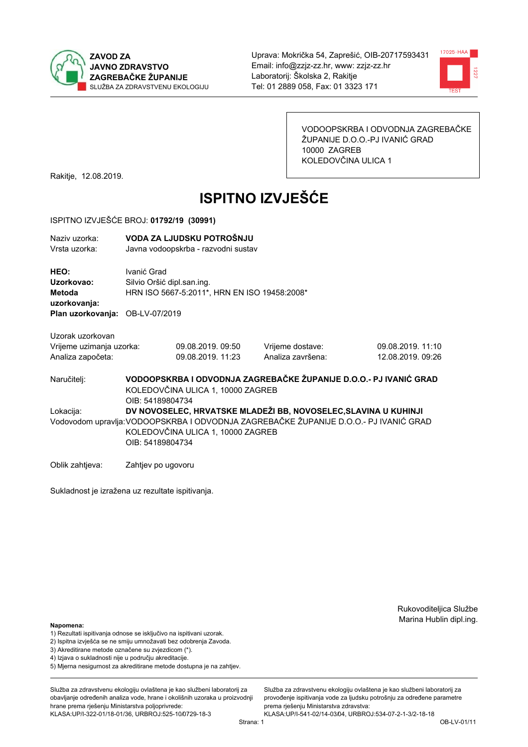



VODOOPSKRBA I ODVODNJA ZAGREBAČKE ŽUPANIJE D.O.O.-PJ IVANIĆ GRAD 10000 ZAGREB KOLEDOVČINA ULICA 1

Rakitje, 12.08.2019.

# **ISPITNO IZVJEŠĆE**

#### ISPITNO IZVJEŠĆE BROJ: 01792/19 (30991)

| Naziy uzorka:<br>Vrsta uzorka:               |                    | VODA ZA LJUDSKU POTROŠNJU<br>Javna vodoopskrba - razvodni sustav                                                                                                                                                  |                                                                   |                   |  |  |
|----------------------------------------------|--------------------|-------------------------------------------------------------------------------------------------------------------------------------------------------------------------------------------------------------------|-------------------------------------------------------------------|-------------------|--|--|
| HEO:<br>Uzorkovao:<br>Metoda<br>uzorkovanja: | Ivanić Grad        | Silvio Oršić dipl.san.ing.<br>HRN ISO 5667-5:2011*, HRN EN ISO 19458:2008*                                                                                                                                        |                                                                   |                   |  |  |
| Plan uzorkovanja: OB-LV-07/2019              |                    |                                                                                                                                                                                                                   |                                                                   |                   |  |  |
| Uzorak uzorkovan                             |                    |                                                                                                                                                                                                                   |                                                                   |                   |  |  |
| Vrijeme uzimanja uzorka:                     |                    | 09.08.2019.09:50                                                                                                                                                                                                  | Vrijeme dostave:                                                  | 09.08.2019. 11:10 |  |  |
| Analiza započeta:                            |                    | 09.08.2019. 11:23                                                                                                                                                                                                 | Analiza završena:                                                 | 12.08.2019. 09:26 |  |  |
| Naručiteli:                                  | OIB: 54189804734   | KOLEDOVČINA ULICA 1, 10000 ZAGREB                                                                                                                                                                                 | VODOOPSKRBA I ODVODNJA ZAGREBAČKE ŽUPANIJE D.O.O.- PJ IVANIĆ GRAD |                   |  |  |
| Lokacija:                                    |                    | DV NOVOSELEC, HRVATSKE MLADEŽI BB, NOVOSELEC, SLAVINA U KUHINJI<br>Vodovodom upravlja: VODOOPSKRBA I ODVODNJA ZAGREBAČKE ŽUPANIJE D.O.O.- PJ IVANIĆ GRAD<br>KOLEDOVČINA ULICA 1, 10000 ZAGREB<br>OIB: 54189804734 |                                                                   |                   |  |  |
| Oblik zahtieva:                              | Zahtjev po ugovoru |                                                                                                                                                                                                                   |                                                                   |                   |  |  |

Sukladnost je izražena uz rezultate ispitivanja.

Rukovoditeljica Službe Marina Hublin dipl.ing.

#### Napomena:

- 1) Rezultati ispitivanja odnose se isključivo na ispitivani uzorak.
- 2) Ispitna izvješća se ne smiju umnožavati bez odobrenja Zavoda.
- 3) Akreditirane metode označene su zvjezdicom (\*).
- 4) Iziava o sukladnosti nije u području akreditacije.
- 5) Mjerna nesigurnost za akreditirane metode dostupna je na zahtjev.

Služba za zdravstvenu ekologiju ovlaštena je kao službeni laboratorij za obavlianie određenih analiza vode, hrane i okolišnih uzoraka u proizvodniji hrane prema rješenju Ministarstva poljoprivrede: KLASA:UP/I-322-01/18-01/36, URBROJ:525-10/0729-18-3

KLASA:UP/I-541-02/14-03/04, URBROJ:534-07-2-1-3/2-18-18 OB-LV-01/11

Služba za zdravstvenu ekologiju ovlaštena je kao službeni laboratorij za

provođenie ispitivania vode za liudsku potrošniu za određene parametre

prema rješenju Ministarstva zdravstva: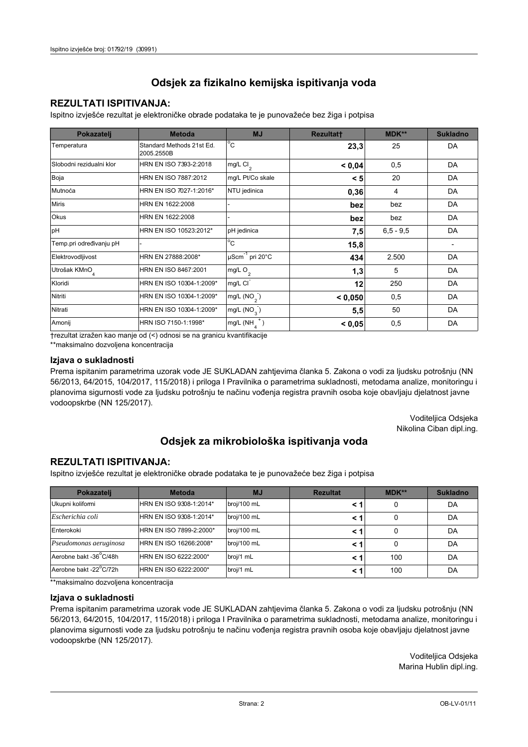## **REZULTATI ISPITIVANJA:**

Ispitno izviešće rezultat je elektroničke obrade podataka te je punovažeće bez žiga i potpisa

| Pokazatelj                | <b>Metoda</b>                           | <b>MJ</b>                   | <b>Rezultatt</b> | MDK**         | <b>Sukladno</b> |
|---------------------------|-----------------------------------------|-----------------------------|------------------|---------------|-----------------|
| Temperatura               | Standard Methods 21st Ed.<br>2005.2550B | $^{\circ}$ C                | 23,3             | 25            | DA              |
| Slobodni rezidualni klor  | HRN EN ISO 7393-2:2018                  | $mg/L$ Cl <sub>2</sub>      | < 0,04           | 0,5           | DA              |
| Boja                      | HRN EN ISO 7887:2012                    | mg/L Pt/Co skale            | < 5              | 20            | DA              |
| Mutnoća                   | HRN EN ISO 7027-1:2016*                 | NTU jedinica                | 0,36             | 4             | DA              |
| <b>Miris</b>              | HRN EN 1622:2008                        |                             | bez              | bez           | DA              |
| <b>Okus</b>               | HRN EN 1622:2008                        |                             | bez              | bez           | DA              |
| pH                        | HRN EN ISO 10523:2012*                  | pH jedinica                 | 7,5              | $6, 5 - 9, 5$ | DA              |
| Temp.pri određivanju pH   |                                         | $\overline{C}$              | 15,8             |               |                 |
| Elektrovodljivost         | HRN EN 27888:2008*                      | µScm <sup>-1</sup> pri 20°C | 434              | 2.500         | DA              |
| Utrošak KMnO <sub>4</sub> | HRN EN ISO 8467:2001                    | $mg/L$ O <sub>2</sub>       | 1,3              | 5             | DA              |
| Kloridi                   | HRN EN ISO 10304-1:2009*                | mg/L CI                     | 12               | 250           | DA              |
| Nitriti                   | HRN EN ISO 10304-1:2009*                | mg/L $(NO2)$                | < 0.050          | 0,5           | DA              |
| Nitrati                   | HRN EN ISO 10304-1:2009*                | mg/L $(NO_2)$               | 5,5              | 50            | DA              |
| Amonij                    | HRN ISO 7150-1:1998*                    | mg/L (NH                    | < 0,05           | 0,5           | DA              |

trezultat izražen kao manje od (<) odnosi se na granicu kvantifikacije

\*\*maksimalno dozvoljena koncentracija

#### Izjava o sukladnosti

Prema ispitanim parametrima uzorak vode JE SUKLADAN zahtievima članka 5. Zakona o vodi za ljudsku potrošnju (NN 56/2013, 64/2015, 104/2017, 115/2018) i priloga I Pravilnika o parametrima sukladnosti, metodama analize, monitoringu i planovima sigurnosti vode za ljudsku potrošnju te načinu vođenja registra pravnih osoba koje obavljaju djelatnost javne vodoopskrbe (NN 125/2017).

> Voditeljica Odsjeka Nikolina Ciban dipl.ing.

## Odsjek za mikrobiološka ispitivanja voda

### **REZULTATI ISPITIVANJA:**

Ispitno izvješće rezultat je elektroničke obrade podataka te je punovažeće bez žiga i potpisa

| Pokazatelj             | <b>Metoda</b>           | <b>MJ</b>   | <b>Rezultat</b> | <b>MDK**</b> | <b>Sukladno</b> |
|------------------------|-------------------------|-------------|-----------------|--------------|-----------------|
| Ukupni kolifomi        | HRN EN ISO 9308-1:2014* | broj/100 mL |                 | 0            | DA              |
| Escherichia coli       | HRN EN ISO 9308-1:2014* | broj/100 mL | < 1             | 0            | DA              |
| Enterokoki             | HRN EN ISO 7899-2:2000* | broj/100 mL | < '             | 0            | DA              |
| Pseudomonas aeruginosa | HRN EN ISO 16266:2008*  | broj/100 mL | < 1             | 0            | DA              |
| Aerobne bakt -36 C/48h | HRN EN ISO 6222:2000*   | broj/1 mL   | < '             | 100          | DA              |
| Aerobne bakt -22°C/72h | HRN EN ISO 6222:2000*   | broj/1 mL   | < 1             | 100          | DA              |

\*\*maksimalno dozvoljena koncentracija

#### Izjava o sukladnosti

Prema ispitanim parametrima uzorak vode JE SUKLADAN zahtjevima članka 5. Zakona o vodi za ljudsku potrošnju (NN 56/2013, 64/2015, 104/2017, 115/2018) i priloga I Pravilnika o parametrima sukladnosti, metodama analize, monitoringu i planovima sigurnosti vode za ljudsku potrošnju te načinu vođenja registra pravnih osoba koje obavljaju djelatnost javne vodoopskrbe (NN 125/2017).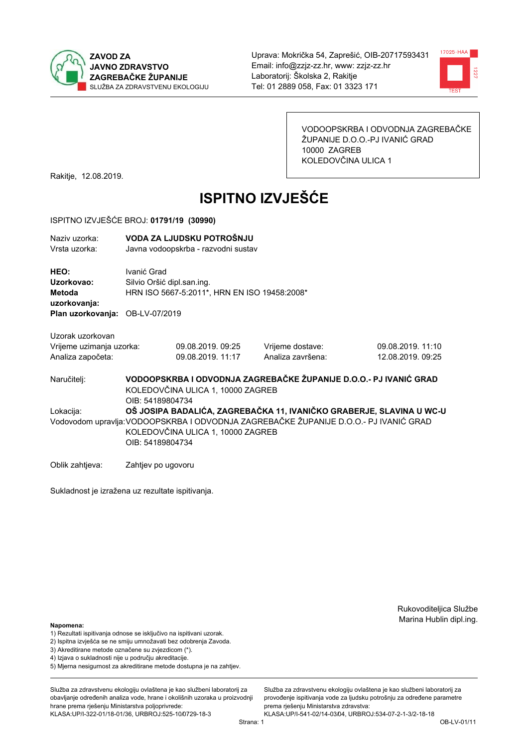



VODOOPSKRBA I ODVODNJA ZAGREBAČKE ŽUPANIJE D.O.O.-PJ IVANIĆ GRAD 10000 ZAGREB KOLEDOVČINA ULICA 1

Rakitje, 12.08.2019.

# **ISPITNO IZVJEŠĆE**

#### ISPITNO IZVJEŠĆE BROJ: 01791/19 (30990)

| Naziv uzorka:<br>Vrsta uzorka:                                    |                                                                                                                                                                                                                        | VODA ZA LJUDSKU POTROŠNJU<br>Javna vodoopskrba - razvodni sustav                            |                                                                   |                                        |  |  |
|-------------------------------------------------------------------|------------------------------------------------------------------------------------------------------------------------------------------------------------------------------------------------------------------------|---------------------------------------------------------------------------------------------|-------------------------------------------------------------------|----------------------------------------|--|--|
| HEO:<br>Uzorkovao:<br>Metoda<br>uzorkovanja:<br>Plan uzorkovanja: | Ivanić Grad                                                                                                                                                                                                            | Silvio Oršić dipl.san.ing.<br>HRN ISO 5667-5:2011*, HRN EN ISO 19458:2008*<br>OB-LV-07/2019 |                                                                   |                                        |  |  |
| Uzorak uzorkovan<br>Vrijeme uzimanja uzorka:<br>Analiza započeta: |                                                                                                                                                                                                                        | 09.08.2019. 09:25<br>09.08.2019. 11:17                                                      | Vrijeme dostave:<br>Analiza završena:                             | 09.08.2019. 11:10<br>12.08.2019. 09:25 |  |  |
| Naručitelj:                                                       | OIB: 54189804734                                                                                                                                                                                                       | KOLEDOVČINA ULICA 1, 10000 ZAGREB                                                           | VODOOPSKRBA I ODVODNJA ZAGREBAČKE ŽUPANIJE D.O.O.- PJ IVANIĆ GRAD |                                        |  |  |
| Lokacija:                                                         | OŠ JOSIPA BADALIĆA, ZAGREBAČKA 11, IVANIČKO GRABERJE, SLAVINA U WC-U<br>Vodovodom upravlja: VODOOPSKRBA I ODVODNJA ZAGREBAČKE ŽUPANIJE D.O.O.- PJ IVANIĆ GRAD<br>KOLEDOVČINA ULICA 1, 10000 ZAGREB<br>OIB: 54189804734 |                                                                                             |                                                                   |                                        |  |  |
| Oblik zahtjeva:                                                   | Zahtjev po ugovoru                                                                                                                                                                                                     |                                                                                             |                                                                   |                                        |  |  |

Sukladnost je izražena uz rezultate ispitivanja.

Rukovoditeljica Službe Marina Hublin dipl.ing.

#### Napomena:

- 1) Rezultati ispitivanja odnose se isključivo na ispitivani uzorak.
- 2) Ispitna izvješća se ne smiju umnožavati bez odobrenja Zavoda.
- 3) Akreditirane metode označene su zvjezdicom (\*).
- 4) Iziava o sukladnosti nije u područiu akreditacije.
- 5) Mjerna nesigurnost za akreditirane metode dostupna je na zahtjev.

Služba za zdravstvenu ekologiju ovlaštena je kao službeni laboratorij za obavljanje određenih analiza vode, hrane i okolišnih uzoraka u proizvodniji hrane prema rješenju Ministarstva poljoprivrede: KLASA:UP/I-322-01/18-01/36, URBROJ:525-10/0729-18-3

Strana: 1

Služba za zdravstvenu ekologiju ovlaštena je kao službeni laboratorij za provođenie ispitivania vode za liudsku potrošniu za određene parametre prema rješenju Ministarstva zdravstva:

KLASA:UP/I-541-02/14-03/04, URBROJ:534-07-2-1-3/2-18-18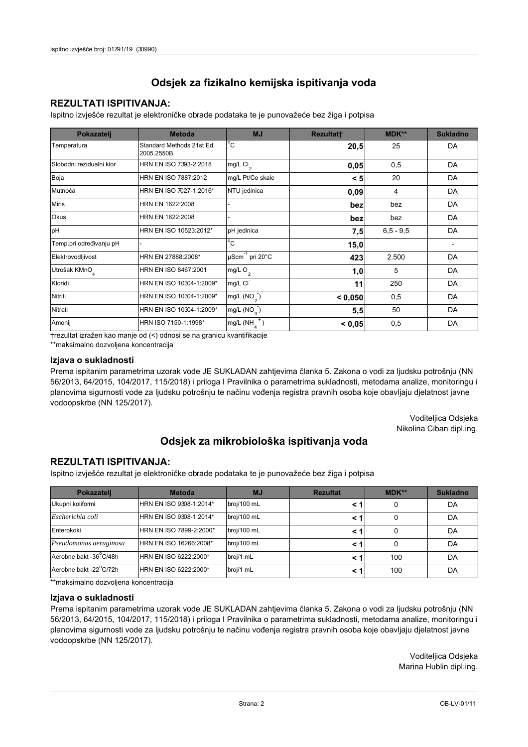## **REZULTATI ISPITIVANJA:**

Ispitno izviešće rezultat je elektroničke obrade podataka te je punovažeće bez žiga i potpisa

| Pokazatelj                | <b>Metoda</b>                           | <b>MJ</b>               | <b>Rezultatt</b> | MDK**         | <b>Sukladno</b> |
|---------------------------|-----------------------------------------|-------------------------|------------------|---------------|-----------------|
| Temperatura               | Standard Methods 21st Ed.<br>2005.2550B | $^{\circ}$ C            | 20,5             | 25            | DA              |
| Slobodni rezidualni klor  | HRN EN ISO 7393-2:2018                  | $mg/L$ Cl <sub>2</sub>  | 0,05             | 0,5           | DA              |
| Boja                      | HRN EN ISO 7887:2012                    | mg/L Pt/Co skale        | < 5              | 20            | DA              |
| Mutnoća                   | HRN EN ISO 7027-1:2016*                 | NTU jedinica            | 0,09             | 4             | DA              |
| <b>Miris</b>              | HRN EN 1622:2008                        |                         | bez              | bez           | DA              |
| Okus                      | HRN EN 1622:2008                        |                         | bez              | bez           | DA              |
| pH                        | HRN EN ISO 10523:2012*                  | pH jedinica             | 7,5              | $6, 5 - 9, 5$ | DA              |
| Temp.pri određivanju pH   |                                         | $^{\circ}$ C            | 15,0             |               |                 |
| Elektrovodljivost         | HRN EN 27888:2008*                      | µScm-1 pri 20°C         | 423              | 2.500         | DA              |
| Utrošak KMnO <sub>4</sub> | HRN EN ISO 8467:2001                    | mg/L O <sub>2</sub>     | 1,0              | 5             | DA              |
| Kloridi                   | HRN EN ISO 10304-1:2009*                | mg/L CI                 | 11               | 250           | DA              |
| Nitriti                   | HRN EN ISO 10304-1:2009*                | mg/L $(NO2)$            | < 0.050          | 0,5           | DA              |
| Nitrati                   | HRN EN ISO 10304-1:2009*                | mg/L (NO <sub>3</sub> ) | 5,5              | 50            | DA              |
| Amonij                    | HRN ISO 7150-1:1998*                    | mg/L (NH                | < 0.05           | 0,5           | DA              |

trezultat izražen kao manje od (<) odnosi se na granicu kvantifikacije

\*\*maksimalno dozvoljena koncentracija

#### Izjava o sukladnosti

Prema ispitanim parametrima uzorak vode JE SUKLADAN zahtievima članka 5. Zakona o vodi za ljudsku potrošnju (NN 56/2013, 64/2015, 104/2017, 115/2018) i priloga I Pravilnika o parametrima sukladnosti, metodama analize, monitoringu i planovima sigurnosti vode za ljudsku potrošnju te načinu vođenja registra pravnih osoba koje obavljaju djelatnost javne vodoopskrbe (NN 125/2017).

> Voditeljica Odsjeka Nikolina Ciban dipl.ing.

## Odsjek za mikrobiološka ispitivanja voda

### **REZULTATI ISPITIVANJA:**

Ispitno izvješće rezultat je elektroničke obrade podataka te je punovažeće bez žiga i potpisa

| Pokazatelj             | <b>Metoda</b>           | <b>MJ</b>   | <b>Rezultat</b> | <b>MDK**</b> | <b>Sukladno</b> |
|------------------------|-------------------------|-------------|-----------------|--------------|-----------------|
| Ukupni kolifomi        | HRN EN ISO 9308-1:2014* | broj/100 mL |                 | 0            | DA              |
| Escherichia coli       | HRN EN ISO 9308-1:2014* | broj/100 mL | < 1             | 0            | DA              |
| Enterokoki             | HRN EN ISO 7899-2:2000* | broj/100 mL | < '             | 0            | DA              |
| Pseudomonas aeruginosa | HRN EN ISO 16266:2008*  | broj/100 mL | < 1             | 0            | DA              |
| Aerobne bakt -36 C/48h | HRN EN ISO 6222:2000*   | broj/1 mL   | < '             | 100          | DA              |
| Aerobne bakt -22°C/72h | HRN EN ISO 6222:2000*   | broj/1 mL   | < 1             | 100          | DA              |

\*\*maksimalno dozvoljena koncentracija

#### Izjava o sukladnosti

Prema ispitanim parametrima uzorak vode JE SUKLADAN zahtjevima članka 5. Zakona o vodi za ljudsku potrošnju (NN 56/2013, 64/2015, 104/2017, 115/2018) i priloga I Pravilnika o parametrima sukladnosti, metodama analize, monitoringu i planovima sigurnosti vode za ljudsku potrošnju te načinu vođenja registra pravnih osoba koje obavljaju djelatnost javne vodoopskrbe (NN 125/2017).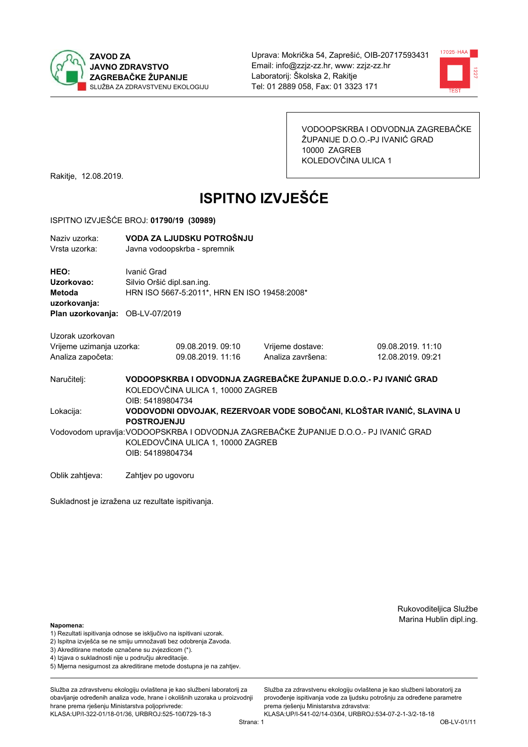



VODOOPSKRBA I ODVODNJA ZAGREBAČKE ŽUPANIJE D.O.O.-PJ IVANIĆ GRAD 10000 ZAGREB KOLEDOVČINA ULICA 1

Rakitje, 12.08.2019.

# **ISPITNO IZVJEŠĆE**

#### ISPITNO IZVJEŠĆE BROJ: 01790/19 (30989)

| Naziv uzorka:<br>Vrsta uzorka:                                    |                                                                                                                                                | VODA ZA LJUDSKU POTROŠNJU<br>Javna vodoopskrba - spremnik                  |  |                                       |  |                                                                       |
|-------------------------------------------------------------------|------------------------------------------------------------------------------------------------------------------------------------------------|----------------------------------------------------------------------------|--|---------------------------------------|--|-----------------------------------------------------------------------|
| HEO:<br>Uzorkovao:<br>Metoda<br>uzorkovanja:                      | Ivanić Grad                                                                                                                                    | Silvio Oršić dipl.san.ing.<br>HRN ISO 5667-5:2011*, HRN EN ISO 19458:2008* |  |                                       |  |                                                                       |
| Plan uzorkovanja: OB-LV-07/2019                                   |                                                                                                                                                |                                                                            |  |                                       |  |                                                                       |
| Uzorak uzorkovan<br>Vrijeme uzimanja uzorka:<br>Analiza započeta: |                                                                                                                                                | 09.08.2019.09:10<br>09.08.2019. 11:16                                      |  | Vrijeme dostave:<br>Analiza završena: |  | 09.08.2019.11:10<br>12.08.2019. 09:21                                 |
| Naručitelj:                                                       | KOLEDOVČINA ULICA 1, 10000 ZAGREB<br>OIB: 54189804734                                                                                          |                                                                            |  |                                       |  | VODOOPSKRBA I ODVODNJA ZAGREBAČKE ŽUPANIJE D.O.O.- PJ IVANIĆ GRAD     |
| Lokacija:                                                         | <b>POSTROJENJU</b>                                                                                                                             |                                                                            |  |                                       |  | VODOVODNI ODVOJAK, REZERVOAR VODE SOBOČANI, KLOŠTAR IVANIĆ, SLAVINA U |
|                                                                   | Vodovodom upravlja: VODOOPSKRBA I ODVODNJA ZAGREBAČKE ŽUPANIJE D.O.O.- PJ IVANIĆ GRAD<br>KOLEDOVČINA ULICA 1, 10000 ZAGREB<br>OIB: 54189804734 |                                                                            |  |                                       |  |                                                                       |
| Oblik zahtjeva:                                                   | Zahtjev po ugovoru                                                                                                                             |                                                                            |  |                                       |  |                                                                       |

Sukladnost je izražena uz rezultate ispitivanja.

Rukovoditeljica Službe Marina Hublin dipl.ing.

#### Napomena:

- 1) Rezultati ispitivanja odnose se isključivo na ispitivani uzorak.
- 2) Ispitna izvješća se ne smiju umnožavati bez odobrenja Zavoda.
- 3) Akreditirane metode označene su zvjezdicom (\*).
- 4) Iziava o sukladnosti nije u području akreditacije.
- 5) Mjerna nesigurnost za akreditirane metode dostupna je na zahtjev.

Služba za zdravstvenu ekologiju ovlaštena je kao službeni laboratorij za obavlianie određenih analiza vode, hrane i okolišnih uzoraka u proizvodniji hrane prema rješenju Ministarstva poljoprivrede: KLASA:UP/I-322-01/18-01/36, URBROJ:525-10/0729-18-3

Strana: 1

Služba za zdravstvenu ekologiju ovlaštena je kao službeni laboratorij za provođenie ispitivania vode za liudsku potrošniu za određene parametre prema rješenju Ministarstva zdravstva: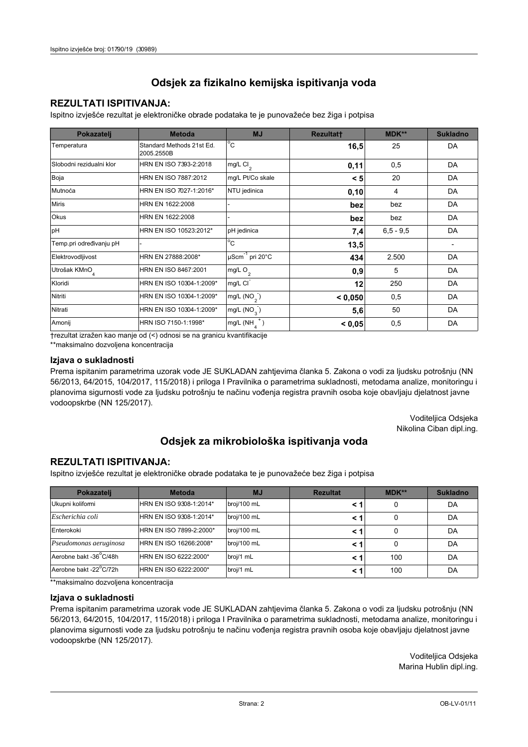## **REZULTATI ISPITIVANJA:**

Ispitno izviešće rezultat je elektroničke obrade podataka te je punovažeće bez žiga i potpisa

| Pokazatelj                | <b>Metoda</b>                           | <b>MJ</b>               | <b>Rezultatt</b> | MDK**         | <b>Sukladno</b> |
|---------------------------|-----------------------------------------|-------------------------|------------------|---------------|-----------------|
| Temperatura               | Standard Methods 21st Ed.<br>2005.2550B | $^{\circ}$ C            | 16,5             | 25            | DA              |
| Slobodni rezidualni klor  | HRN EN ISO 7393-2:2018                  | $mg/L$ Cl <sub>2</sub>  | 0,11             | 0,5           | DA              |
| Boja                      | HRN EN ISO 7887:2012                    | mg/L Pt/Co skale        | < 5              | 20            | DA              |
| Mutnoća                   | HRN EN ISO 7027-1:2016*                 | NTU jedinica            | 0,10             | 4             | DA              |
| <b>Miris</b>              | HRN EN 1622:2008                        |                         | bez              | bez           | DA              |
| Okus                      | HRN EN 1622:2008                        |                         | bez              | bez           | DA              |
| pH                        | HRN EN ISO 10523:2012*                  | pH jedinica             | 7,4              | $6, 5 - 9, 5$ | DA              |
| Temp.pri određivanju pH   |                                         | $^{\circ}$ C            | 13,5             |               |                 |
| Elektrovodljivost         | HRN EN 27888:2008*                      | µScm-1 pri 20°C         | 434              | 2.500         | DA              |
| Utrošak KMnO <sub>4</sub> | HRN EN ISO 8467:2001                    | mg/L O <sub>2</sub>     | 0,9              | 5             | DA              |
| Kloridi                   | HRN EN ISO 10304-1:2009*                | mg/L CI                 | 12               | 250           | DA              |
| Nitriti                   | HRN EN ISO 10304-1:2009*                | mg/L $(NO2)$            | < 0.050          | 0,5           | DA              |
| Nitrati                   | HRN EN ISO 10304-1:2009*                | mg/L (NO <sub>3</sub> ) | 5,6              | 50            | DA              |
| Amonij                    | HRN ISO 7150-1:1998*                    | mg/L (NH                | < 0.05           | 0,5           | DA              |

trezultat izražen kao manje od (<) odnosi se na granicu kvantifikacije

\*\*maksimalno dozvoljena koncentracija

#### Izjava o sukladnosti

Prema ispitanim parametrima uzorak vode JE SUKLADAN zahtievima članka 5. Zakona o vodi za ljudsku potrošnju (NN 56/2013, 64/2015, 104/2017, 115/2018) i priloga I Pravilnika o parametrima sukladnosti, metodama analize, monitoringu i planovima sigurnosti vode za ljudsku potrošnju te načinu vođenja registra pravnih osoba koje obavljaju djelatnost javne vodoopskrbe (NN 125/2017).

> Voditeljica Odsjeka Nikolina Ciban dipl.ing.

## Odsjek za mikrobiološka ispitivanja voda

### **REZULTATI ISPITIVANJA:**

Ispitno izvješće rezultat je elektroničke obrade podataka te je punovažeće bez žiga i potpisa

| Pokazatelj             | <b>Metoda</b>           | <b>MJ</b>   | <b>Rezultat</b> | <b>MDK**</b> | <b>Sukladno</b> |
|------------------------|-------------------------|-------------|-----------------|--------------|-----------------|
| Ukupni kolifomi        | HRN EN ISO 9308-1:2014* | broj/100 mL |                 | 0            | DA              |
| Escherichia coli       | HRN EN ISO 9308-1:2014* | broj/100 mL | < 1             | 0            | DA              |
| Enterokoki             | HRN EN ISO 7899-2:2000* | broj/100 mL | < '             | 0            | DA              |
| Pseudomonas aeruginosa | HRN EN ISO 16266:2008*  | broj/100 mL | < 1             | 0            | DA              |
| Aerobne bakt -36 C/48h | HRN EN ISO 6222:2000*   | broj/1 mL   | < '             | 100          | DA              |
| Aerobne bakt -22°C/72h | HRN EN ISO 6222:2000*   | broj/1 mL   | < 1             | 100          | DA              |

\*\*maksimalno dozvoljena koncentracija

#### Izjava o sukladnosti

Prema ispitanim parametrima uzorak vode JE SUKLADAN zahtjevima članka 5. Zakona o vodi za ljudsku potrošnju (NN 56/2013, 64/2015, 104/2017, 115/2018) i priloga I Pravilnika o parametrima sukladnosti, metodama analize, monitoringu i planovima sigurnosti vode za ljudsku potrošnju te načinu vođenja registra pravnih osoba koje obavljaju djelatnost javne vodoopskrbe (NN 125/2017).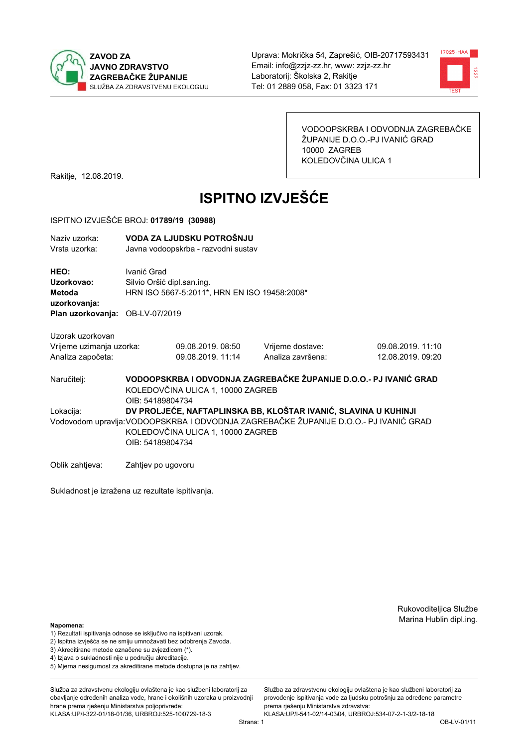



VODOOPSKRBA I ODVODNJA ZAGREBAČKE ŽUPANIJE D.O.O.-PJ IVANIĆ GRAD 10000 ZAGREB KOLEDOVČINA ULICA 1

Rakitje, 12.08.2019.

# **ISPITNO IZVJEŠĆE**

#### ISPITNO IZVJEŠĆE BROJ: 01789/19 (30988)

| Naziv uzorka:<br>Vrsta uzorka:                                                  |                                                                                                                                                                                                                   | VODA ZA LJUDSKU POTROŠNJU<br>Javna vodoopskrba - razvodni sustav           |                                                                   |                                        |  |
|---------------------------------------------------------------------------------|-------------------------------------------------------------------------------------------------------------------------------------------------------------------------------------------------------------------|----------------------------------------------------------------------------|-------------------------------------------------------------------|----------------------------------------|--|
| HEO:<br>Uzorkovao:<br>Metoda<br>uzorkovanja:<br>Plan uzorkovanja: OB-LV-07/2019 | Ivanić Grad                                                                                                                                                                                                       | Silvio Oršić dipl.san.ing.<br>HRN ISO 5667-5:2011*, HRN EN ISO 19458:2008* |                                                                   |                                        |  |
| Uzorak uzorkovan<br>Vrijeme uzimanja uzorka:<br>Analiza započeta:               |                                                                                                                                                                                                                   | 09.08.2019, 08:50<br>09.08.2019. 11:14                                     | Vrijeme dostave:<br>Analiza završena:                             | 09.08.2019. 11:10<br>12.08.2019. 09:20 |  |
| Naručitelj:                                                                     | OIB: 54189804734                                                                                                                                                                                                  | KOLEDOVČINA ULICA 1, 10000 ZAGREB                                          | VODOOPSKRBA I ODVODNJA ZAGREBAČKE ŽUPANIJE D.O.O.- PJ IVANIĆ GRAD |                                        |  |
| Lokacija:                                                                       | DV PROLJEĆE, NAFTAPLINSKA BB, KLOŠTAR IVANIĆ, SLAVINA U KUHINJI<br>Vodovodom upravlja: VODOOPSKRBA I ODVODNJA ZAGREBAČKE ŽUPANIJE D.O.O.- PJ IVANIĆ GRAD<br>KOLEDOVČINA ULICA 1, 10000 ZAGREB<br>OIB: 54189804734 |                                                                            |                                                                   |                                        |  |
| Oblik zahtjeva:                                                                 | Zahtjev po ugovoru                                                                                                                                                                                                |                                                                            |                                                                   |                                        |  |

Sukladnost je izražena uz rezultate ispitivanja.

Rukovoditeljica Službe Marina Hublin dipl.ing.

#### Napomena:

- 1) Rezultati ispitivanja odnose se isključivo na ispitivani uzorak.
- 2) Ispitna izvješća se ne smiju umnožavati bez odobrenja Zavoda.
- 3) Akreditirane metode označene su zvjezdicom (\*).
- 4) Iziava o sukladnosti nije u području akreditacije.
- 5) Mjerna nesigurnost za akreditirane metode dostupna je na zahtjev.

Služba za zdravstvenu ekologiju ovlaštena je kao službeni laboratorij za obavlianie određenih analiza vode, hrane i okolišnih uzoraka u proizvodniji hrane prema rješenju Ministarstva poljoprivrede: KLASA:UP/I-322-01/18-01/36, URBROJ:525-10/0729-18-3

Služba za zdravstvenu ekologiju ovlaštena je kao službeni laboratorij za provođenie ispitivania vode za liudsku potrošniu za određene parametre prema rješenju Ministarstva zdravstva:

KLASA:UP/I-541-02/14-03/04, URBROJ:534-07-2-1-3/2-18-18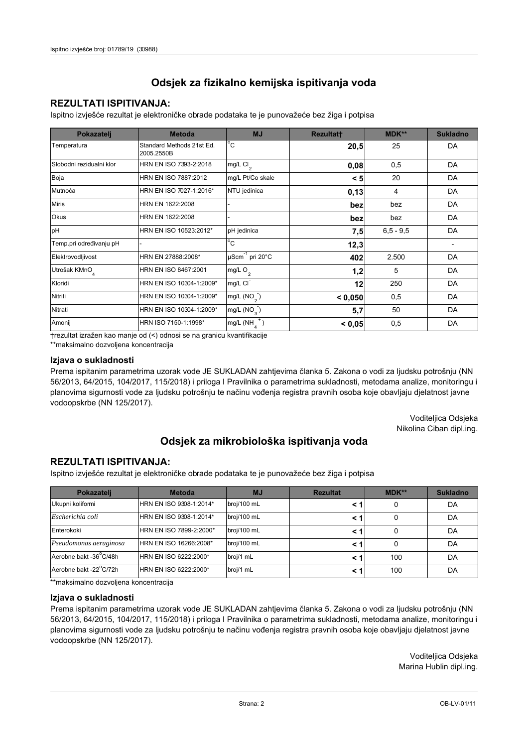## **REZULTATI ISPITIVANJA:**

Ispitno izviešće rezultat je elektroničke obrade podataka te je punovažeće bez žiga i potpisa

| Pokazatelj                | <b>Metoda</b>                           | <b>MJ</b>                   | <b>Rezultatt</b> | MDK**         | <b>Sukladno</b> |
|---------------------------|-----------------------------------------|-----------------------------|------------------|---------------|-----------------|
| Temperatura               | Standard Methods 21st Ed.<br>2005.2550B | $^{\circ}$ C                | 20,5             | 25            | DA              |
| Slobodni rezidualni klor  | HRN EN ISO 7393-2:2018                  | $mg/L$ Cl <sub>2</sub>      | 0,08             | 0,5           | DA              |
| Boja                      | HRN EN ISO 7887:2012                    | mg/L Pt/Co skale            | < 5              | 20            | DA              |
| Mutnoća                   | HRN EN ISO 7027-1:2016*                 | NTU jedinica                | 0,13             | 4             | DA              |
| <b>Miris</b>              | HRN EN 1622:2008                        |                             | bez              | bez           | DA              |
| <b>Okus</b>               | HRN EN 1622:2008                        |                             | bez              | bez           | DA              |
| pH                        | HRN EN ISO 10523:2012*                  | pH jedinica                 | 7,5              | $6, 5 - 9, 5$ | DA              |
| Temp.pri određivanju pH   |                                         | $\overline{C}$              | 12,3             |               |                 |
| Elektrovodljivost         | HRN EN 27888:2008*                      | µScm <sup>-1</sup> pri 20°C | 402              | 2.500         | DA              |
| Utrošak KMnO <sub>4</sub> | HRN EN ISO 8467:2001                    | $mg/L$ O <sub>2</sub>       | 1,2              | 5             | DA              |
| Kloridi                   | HRN EN ISO 10304-1:2009*                | mg/L CI                     | 12               | 250           | DA              |
| Nitriti                   | HRN EN ISO 10304-1:2009*                | mg/L $(NO2)$                | < 0.050          | 0,5           | DA              |
| Nitrati                   | HRN EN ISO 10304-1:2009*                | mg/L $(NO_2)$               | 5,7              | 50            | DA              |
| Amonij                    | HRN ISO 7150-1:1998*                    | mg/L (NH                    | < 0,05           | 0,5           | DA              |

trezultat izražen kao manje od (<) odnosi se na granicu kvantifikacije

\*\*maksimalno dozvoljena koncentracija

#### Izjava o sukladnosti

Prema ispitanim parametrima uzorak vode JE SUKLADAN zahtievima članka 5. Zakona o vodi za ljudsku potrošnju (NN 56/2013, 64/2015, 104/2017, 115/2018) i priloga I Pravilnika o parametrima sukladnosti, metodama analize, monitoringu i planovima sigurnosti vode za ljudsku potrošnju te načinu vođenja registra pravnih osoba koje obavljaju djelatnost javne vodoopskrbe (NN 125/2017).

> Voditeljica Odsjeka Nikolina Ciban dipl.ing.

## Odsjek za mikrobiološka ispitivanja voda

### **REZULTATI ISPITIVANJA:**

Ispitno izvješće rezultat je elektroničke obrade podataka te je punovažeće bez žiga i potpisa

| Pokazatelj             | <b>Metoda</b>           | <b>MJ</b>   | <b>Rezultat</b> | $MDK**$ | <b>Sukladno</b> |
|------------------------|-------------------------|-------------|-----------------|---------|-----------------|
| Ukupni kolifomi        | HRN EN ISO 9308-1:2014* | broj/100 mL |                 | 0       | DA              |
| Escherichia coli       | HRN EN ISO 9308-1:2014* | broj/100 mL |                 | 0       | DA              |
| Enterokoki             | HRN EN ISO 7899-2:2000* | broj/100 mL |                 | 0       | DA              |
| Pseudomonas aeruginosa | HRN EN ISO 16266:2008*  | broj/100 mL | < 1             | 0       | DA              |
| Aerobne bakt -36 C/48h | HRN EN ISO 6222:2000*   | broj/1 mL   |                 | 100     | DA              |
| Aerobne bakt -22°C/72h | HRN EN ISO 6222:2000*   | broj/1 mL   |                 | 100     | DA              |

\*\*maksimalno dozvoljena koncentracija

#### Izjava o sukladnosti

Prema ispitanim parametrima uzorak vode JE SUKLADAN zahtjevima članka 5. Zakona o vodi za ljudsku potrošnju (NN 56/2013, 64/2015, 104/2017, 115/2018) i priloga I Pravilnika o parametrima sukladnosti, metodama analize, monitoringu i planovima sigurnosti vode za ljudsku potrošnju te načinu vođenja registra pravnih osoba koje obavljaju djelatnost javne vodoopskrbe (NN 125/2017).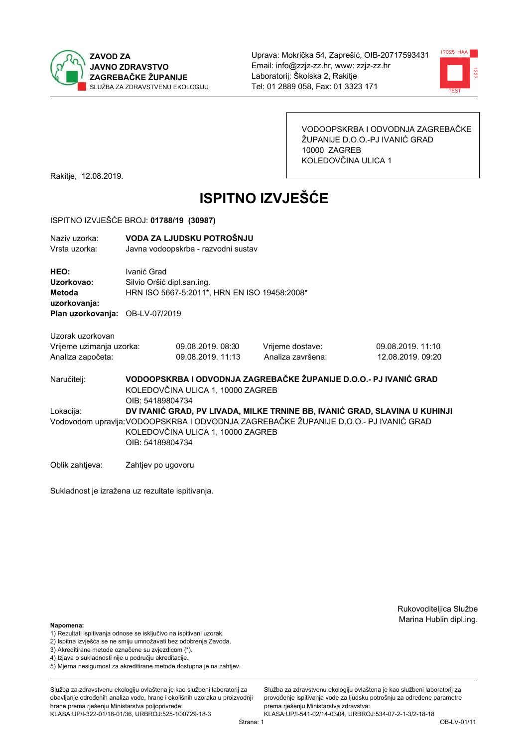



VODOOPSKRBA I ODVODNJA ZAGREBAČKE ŽUPANIJE D.O.O.-PJ IVANIĆ GRAD 10000 ZAGREB KOLEDOVČINA ULICA 1

Rakitje, 12.08.2019.

# **ISPITNO IZVJEŠĆE**

#### ISPITNO IZVJEŠĆE BROJ: 01788/19 (30987)

| Naziv uzorka:<br>Vrsta uzorka:                                                        | VODA ZA LJUDSKU POTROŠNJU<br>Javna vodoopskrba - razvodni sustav                                                           |                   |                   |                                                                            |  |  |
|---------------------------------------------------------------------------------------|----------------------------------------------------------------------------------------------------------------------------|-------------------|-------------------|----------------------------------------------------------------------------|--|--|
| HEO:<br>Uzorkovao:<br>Metoda<br>uzorkovanja:<br>Plan uzorkovanja: OB-LV-07/2019       | Ivanić Grad<br>Silvio Oršić dipl.san.ing.<br>HRN ISO 5667-5:2011*, HRN EN ISO 19458:2008*                                  |                   |                   |                                                                            |  |  |
| Uzorak uzorkovan                                                                      |                                                                                                                            |                   |                   |                                                                            |  |  |
| Vrijeme uzimanja uzorka:                                                              |                                                                                                                            | 09.08.2019.08:30  | Vrijeme dostave:  | 09.08.2019. 11:10                                                          |  |  |
| Analiza započeta:                                                                     |                                                                                                                            | 09.08.2019. 11:13 | Analiza završena: | 12.08.2019. 09:20                                                          |  |  |
| Naručitelj:                                                                           | VODOOPSKRBA I ODVODNJA ZAGREBAČKE ŽUPANIJE D.O.O.- PJ IVANIĆ GRAD<br>KOLEDOVČINA ULICA 1, 10000 ZAGREB<br>OIB: 54189804734 |                   |                   |                                                                            |  |  |
| Lokacija:                                                                             |                                                                                                                            |                   |                   | DV IVANIĆ GRAD, PV LIVADA, MILKE TRNINE BB, IVANIĆ GRAD, SLAVINA U KUHINJI |  |  |
| Vodovodom upravlja: VODOOPSKRBA I ODVODNJA ZAGREBAČKE ŽUPANIJE D.O.O.- PJ IVANIĆ GRAD |                                                                                                                            |                   |                   |                                                                            |  |  |
|                                                                                       | KOLEDOVČINA ULICA 1, 10000 ZAGREB                                                                                          |                   |                   |                                                                            |  |  |
|                                                                                       | OIB: 54189804734                                                                                                           |                   |                   |                                                                            |  |  |
| Oblik zahtjeva:                                                                       | Zahtjev po ugovoru                                                                                                         |                   |                   |                                                                            |  |  |

Sukladnost je izražena uz rezultate ispitivanja.

Rukovoditeljica Službe Marina Hublin dipl.ing.

#### Napomena:

- 1) Rezultati ispitivanja odnose se isključivo na ispitivani uzorak.
- 2) Ispitna izvješća se ne smiju umnožavati bez odobrenja Zavoda.
- 3) Akreditirane metode označene su zvjezdicom (\*).
- 4) Iziava o sukladnosti nije u područiu akreditacije.
- 5) Mjerna nesigurnost za akreditirane metode dostupna je na zahtjev.

Služba za zdravstvenu ekologiju ovlaštena je kao službeni laboratorij za obavlianie određenih analiza vode, hrane i okolišnih uzoraka u proizvodniji hrane prema rješenju Ministarstva poljoprivrede: KLASA:UP/I-322-01/18-01/36, URBROJ:525-10/0729-18-3

Služba za zdravstvenu ekologiju ovlaštena je kao službeni laboratorij za provođenie ispitivania vode za liudsku potrošniu za određene parametre prema rješenju Ministarstva zdravstva:

KLASA:UP/I-541-02/14-03/04, URBROJ:534-07-2-1-3/2-18-18 Strana: 1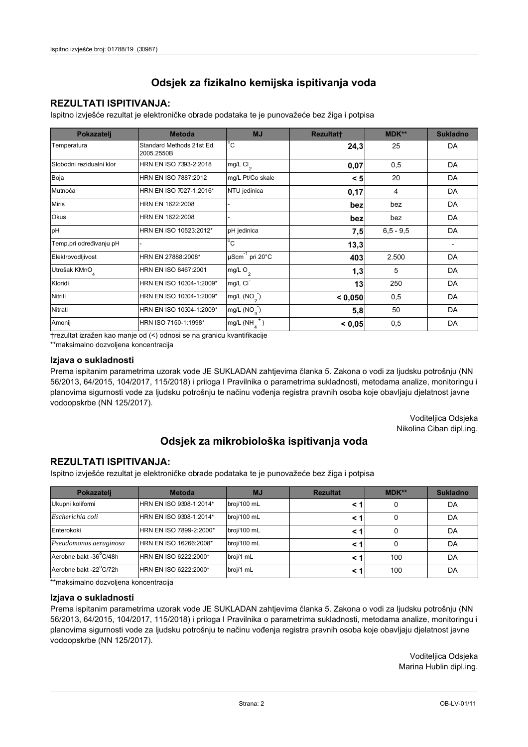## **REZULTATI ISPITIVANJA:**

Ispitno izviešće rezultat je elektroničke obrade podataka te je punovažeće bez žiga i potpisa

| Pokazatelj                | <b>Metoda</b>                           | <b>MJ</b>               | <b>Rezultatt</b> | MDK**         | <b>Sukladno</b> |
|---------------------------|-----------------------------------------|-------------------------|------------------|---------------|-----------------|
| Temperatura               | Standard Methods 21st Ed.<br>2005.2550B | $^{\circ}$ C            | 24,3             | 25            | DA              |
| Slobodni rezidualni klor  | HRN EN ISO 7393-2:2018                  | $mg/L$ Cl <sub>2</sub>  | 0,07             | 0,5           | DA              |
| Boja                      | HRN EN ISO 7887:2012                    | mg/L Pt/Co skale        | < 5              | 20            | DA              |
| Mutnoća                   | HRN EN ISO 7027-1:2016*                 | NTU jedinica            | 0,17             | 4             | DA              |
| <b>Miris</b>              | HRN EN 1622:2008                        |                         | bez              | bez           | DA              |
| Okus                      | HRN EN 1622:2008                        |                         | bez              | bez           | DA              |
| pH                        | HRN EN ISO 10523:2012*                  | pH jedinica             | 7,5              | $6, 5 - 9, 5$ | DA              |
| Temp.pri određivanju pH   |                                         | $^{\circ}$ C            | 13,3             |               |                 |
| Elektrovodljivost         | HRN EN 27888:2008*                      | µScm-1 pri 20°C         | 403              | 2.500         | DA              |
| Utrošak KMnO <sub>4</sub> | HRN EN ISO 8467:2001                    | mg/L O <sub>2</sub>     | 1,3              | 5             | DA              |
| Kloridi                   | HRN EN ISO 10304-1:2009*                | mg/L CI                 | 13               | 250           | DA              |
| Nitriti                   | HRN EN ISO 10304-1:2009*                | mg/L $(NO2)$            | < 0.050          | 0,5           | DA              |
| Nitrati                   | HRN EN ISO 10304-1:2009*                | mg/L (NO <sub>3</sub> ) | 5,8              | 50            | DA              |
| Amonij                    | HRN ISO 7150-1:1998*                    | mg/L (NH                | < 0.05           | 0,5           | DA              |

trezultat izražen kao manje od (<) odnosi se na granicu kvantifikacije

\*\*maksimalno dozvoljena koncentracija

#### Izjava o sukladnosti

Prema ispitanim parametrima uzorak vode JE SUKLADAN zahtievima članka 5. Zakona o vodi za ljudsku potrošnju (NN 56/2013, 64/2015, 104/2017, 115/2018) i priloga I Pravilnika o parametrima sukladnosti, metodama analize, monitoringu i planovima sigurnosti vode za ljudsku potrošnju te načinu vođenja registra pravnih osoba koje obavljaju djelatnost javne vodoopskrbe (NN 125/2017).

> Voditeljica Odsjeka Nikolina Ciban dipl.ing.

## Odsjek za mikrobiološka ispitivanja voda

### **REZULTATI ISPITIVANJA:**

Ispitno izvješće rezultat je elektroničke obrade podataka te je punovažeće bez žiga i potpisa

| Pokazatelj             | <b>Metoda</b>           | <b>MJ</b>   | <b>Rezultat</b> | <b>MDK**</b> | <b>Sukladno</b> |
|------------------------|-------------------------|-------------|-----------------|--------------|-----------------|
| Ukupni kolifomi        | HRN EN ISO 9308-1:2014* | broj/100 mL |                 | 0            | DA              |
| Escherichia coli       | HRN EN ISO 9308-1:2014* | broj/100 mL | < 1             | 0            | DA              |
| Enterokoki             | HRN EN ISO 7899-2:2000* | broj/100 mL | < '             | 0            | DA              |
| Pseudomonas aeruginosa | HRN EN ISO 16266:2008*  | broj/100 mL | < 1             | 0            | DA              |
| Aerobne bakt -36 C/48h | HRN EN ISO 6222:2000*   | broj/1 mL   | < '             | 100          | DA              |
| Aerobne bakt -22°C/72h | HRN EN ISO 6222:2000*   | broj/1 mL   | < 1             | 100          | DA              |

\*\*maksimalno dozvoljena koncentracija

#### Izjava o sukladnosti

Prema ispitanim parametrima uzorak vode JE SUKLADAN zahtjevima članka 5. Zakona o vodi za ljudsku potrošnju (NN 56/2013, 64/2015, 104/2017, 115/2018) i priloga I Pravilnika o parametrima sukladnosti, metodama analize, monitoringu i planovima sigurnosti vode za ljudsku potrošnju te načinu vođenja registra pravnih osoba koje obavljaju djelatnost javne vodoopskrbe (NN 125/2017).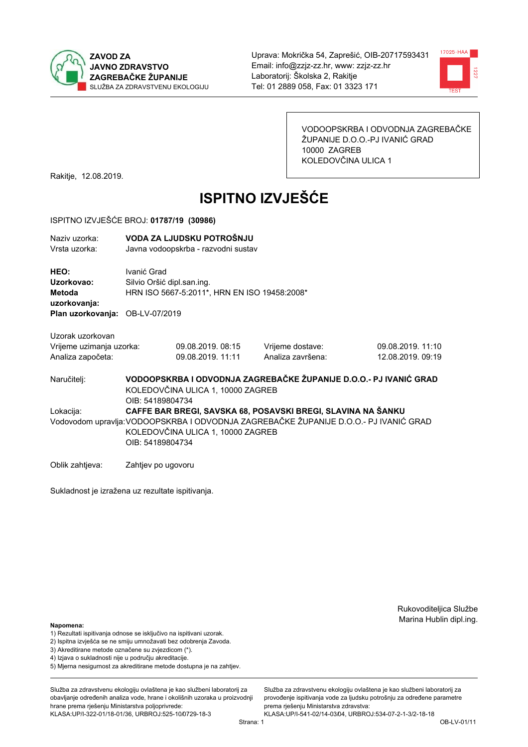



VODOOPSKRBA I ODVODNJA ZAGREBAČKE ŽUPANIJE D.O.O.-PJ IVANIĆ GRAD 10000 ZAGREB KOLEDOVČINA ULICA 1

Rakitje, 12.08.2019.

# **ISPITNO IZVJEŠĆE**

#### ISPITNO IZVJEŠĆE BROJ: 01787/19 (30986)

| Naziv uzorka:<br>Vrsta uzorka:                                                                                                                                                                                              | VODA ZA LJUDSKU POTROŠNJU<br>Javna vodoopskrba - razvodni sustav                                                           |                                        |                                       |                                      |  |
|-----------------------------------------------------------------------------------------------------------------------------------------------------------------------------------------------------------------------------|----------------------------------------------------------------------------------------------------------------------------|----------------------------------------|---------------------------------------|--------------------------------------|--|
| HEO:<br>Uzorkovao:<br>Metoda<br>uzorkovanja:<br>Plan uzorkovanja: OB-LV-07/2019                                                                                                                                             | Ivanić Grad<br>Silvio Oršić dipl.san.ing.<br>HRN ISO 5667-5:2011*, HRN EN ISO 19458:2008*                                  |                                        |                                       |                                      |  |
| Uzorak uzorkovan<br>Vrijeme uzimanja uzorka:<br>Analiza započeta:                                                                                                                                                           |                                                                                                                            | 09.08.2019. 08:15<br>09.08.2019. 11:11 | Vrijeme dostave:<br>Analiza završena: | 09.08.2019.11:10<br>12.08.2019.09:19 |  |
| Naručitelj:                                                                                                                                                                                                                 | VODOOPSKRBA I ODVODNJA ZAGREBAČKE ŽUPANIJE D.O.O.- PJ IVANIĆ GRAD<br>KOLEDOVČINA ULICA 1, 10000 ZAGREB<br>OIB: 54189804734 |                                        |                                       |                                      |  |
| CAFFE BAR BREGI, SAVSKA 68, POSAVSKI BREGI, SLAVINA NA ŠANKU<br>Lokacija:<br>Vodovodom upravlja: VODOOPSKRBA I ODVODNJA ZAGREBAČKE ŽUPANIJE D.O.O.- PJ IVANIĆ GRAD<br>KOLEDOVČINA ULICA 1, 10000 ZAGREB<br>OIB: 54189804734 |                                                                                                                            |                                        |                                       |                                      |  |
| Oblik zahtjeva:                                                                                                                                                                                                             | Zahtjev po ugovoru                                                                                                         |                                        |                                       |                                      |  |

Sukladnost je izražena uz rezultate ispitivanja.

Rukovoditeljica Službe Marina Hublin dipl.ing.

Služba za zdravstvenu ekologiju ovlaštena je kao službeni laboratorij za

provođenie ispitivania vode za liudsku potrošniu za određene parametre

prema rješenju Ministarstva zdravstva:

#### Napomena:

- 1) Rezultati ispitivanja odnose se isključivo na ispitivani uzorak.
- 2) Ispitna izvješća se ne smiju umnožavati bez odobrenja Zavoda.
- 3) Akreditirane metode označene su zvjezdicom (\*).
- 4) Iziava o sukladnosti nije u područiu akreditacije.
- 5) Mjerna nesigurnost za akreditirane metode dostupna je na zahtjev.

Služba za zdravstvenu ekologiju ovlaštena je kao službeni laboratorij za obavljanje određenih analiza vode, hrane i okolišnih uzoraka u proizvodniji hrane prema rješenju Ministarstva poljoprivrede: KLASA:UP/I-322-01/18-01/36, URBROJ:525-10/0729-18-3

KLASA:UP/I-541-02/14-03/04, URBROJ:534-07-2-1-3/2-18-18 Strana: 1

OB-LV-01/11